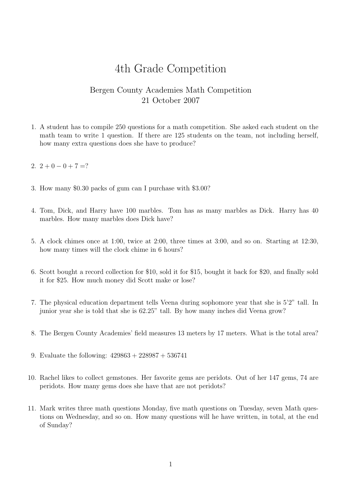## 4th Grade Competition

## Bergen County Academies Math Competition 21 October 2007

- 1. A student has to compile 250 questions for a math competition. She asked each student on the math team to write 1 question. If there are 125 students on the team, not including herself, how many extra questions does she have to produce?
- 2.  $2+0-0+7=?$
- 3. How many \$0.30 packs of gum can I purchase with \$3.00?
- 4. Tom, Dick, and Harry have 100 marbles. Tom has as many marbles as Dick. Harry has 40 marbles. How many marbles does Dick have?
- 5. A clock chimes once at 1:00, twice at 2:00, three times at 3:00, and so on. Starting at 12:30, how many times will the clock chime in 6 hours?
- 6. Scott bought a record collection for \$10, sold it for \$15, bought it back for \$20, and finally sold it for \$25. How much money did Scott make or lose?
- 7. The physical education department tells Veena during sophomore year that she is 5'2" tall. In junior year she is told that she is 62.25" tall. By how many inches did Veena grow?
- 8. The Bergen County Academies' field measures 13 meters by 17 meters. What is the total area?
- 9. Evaluate the following: 429863 + 228987 + 536741
- 10. Rachel likes to collect gemstones. Her favorite gems are peridots. Out of her 147 gems, 74 are peridots. How many gems does she have that are not peridots?
- 11. Mark writes three math questions Monday, five math questions on Tuesday, seven Math questions on Wednesday, and so on. How many questions will he have written, in total, at the end of Sunday?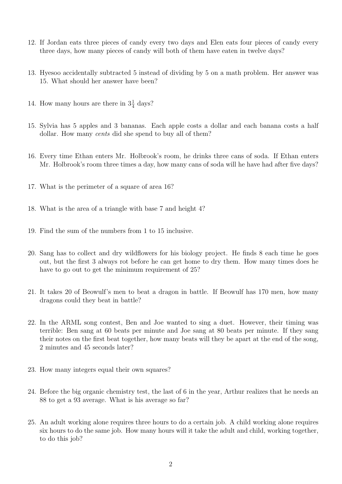- 12. If Jordan eats three pieces of candy every two days and Elen eats four pieces of candy every three days, how many pieces of candy will both of them have eaten in twelve days?
- 13. Hyesoo accidentally subtracted 5 instead of dividing by 5 on a math problem. Her answer was 15. What should her answer have been?
- 14. How many hours are there in  $3\frac{1}{4}$  days?
- 15. Sylvia has 5 apples and 3 bananas. Each apple costs a dollar and each banana costs a half dollar. How many *cents* did she spend to buy all of them?
- 16. Every time Ethan enters Mr. Holbrook's room, he drinks three cans of soda. If Ethan enters Mr. Holbrook's room three times a day, how many cans of soda will he have had after five days?
- 17. What is the perimeter of a square of area 16?
- 18. What is the area of a triangle with base 7 and height 4?
- 19. Find the sum of the numbers from 1 to 15 inclusive.
- 20. Sang has to collect and dry wildflowers for his biology project. He finds 8 each time he goes out, but the first 3 always rot before he can get home to dry them. How many times does he have to go out to get the minimum requirement of 25?
- 21. It takes 20 of Beowulf's men to beat a dragon in battle. If Beowulf has 170 men, how many dragons could they beat in battle?
- 22. In the ARML song contest, Ben and Joe wanted to sing a duet. However, their timing was terrible: Ben sang at 60 beats per minute and Joe sang at 80 beats per minute. If they sang their notes on the first beat together, how many beats will they be apart at the end of the song, 2 minutes and 45 seconds later?
- 23. How many integers equal their own squares?
- 24. Before the big organic chemistry test, the last of 6 in the year, Arthur realizes that he needs an 88 to get a 93 average. What is his average so far?
- 25. An adult working alone requires three hours to do a certain job. A child working alone requires six hours to do the same job. How many hours will it take the adult and child, working together, to do this job?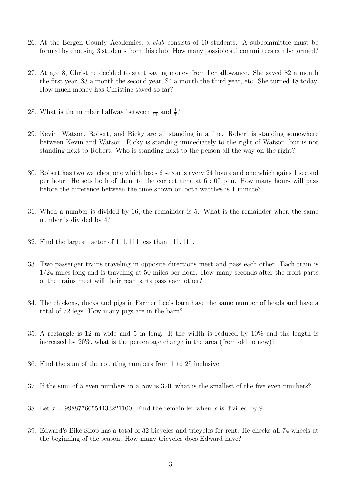- 26. At the Bergen County Academies, a club consists of 10 students. A subcommittee must be formed by choosing 3 students from this club. How many possible subcommittees can be formed?
- 27. At age 8, Christine decided to start saving money from her allowance. She saved \$2 a month the first year, \$3 a month the second year, \$4 a month the third year, etc. She turned 18 today. How much money has Christine saved so far?
- 28. What is the number halfway between  $\frac{1}{11}$  and  $\frac{1}{7}$ ?
- 29. Kevin, Watson, Robert, and Ricky are all standing in a line. Robert is standing somewhere between Kevin and Watson. Ricky is standing immediately to the right of Watson, but is not standing next to Robert. Who is standing next to the person all the way on the right?
- 30. Robert has two watches, one which loses 6 seconds every 24 hours and one which gains 1 second per hour. He sets both of them to the correct time at 6 : 00 p.m. How many hours will pass before the difference between the time shown on both watches is 1 minute?
- 31. When a number is divided by 16, the remainder is 5. What is the remainder when the same number is divided by 4?
- 32. Find the largest factor of 111, 111 less than 111, 111.
- 33. Two passenger trains traveling in opposite directions meet and pass each other. Each train is 1/24 miles long and is traveling at 50 miles per hour. How many seconds after the front parts of the trains meet will their rear parts pass each other?
- 34. The chickens, ducks and pigs in Farmer Lee's barn have the same number of heads and have a total of 72 legs. How many pigs are in the barn?
- 35. A rectangle is 12 m wide and 5 m long. If the width is reduced by 10% and the length is increased by 20%, what is the percentage change in the area (from old to new)?
- 36. Find the sum of the counting numbers from 1 to 25 inclusive.
- 37. If the sum of 5 even numbers in a row is 320, what is the smallest of the five even numbers?
- 38. Let  $x = 99887766554433221100$ . Find the remainder when x is divided by 9.
- 39. Edward's Bike Shop has a total of 32 bicycles and tricycles for rent. He checks all 74 wheels at the beginning of the season. How many tricycles does Edward have?